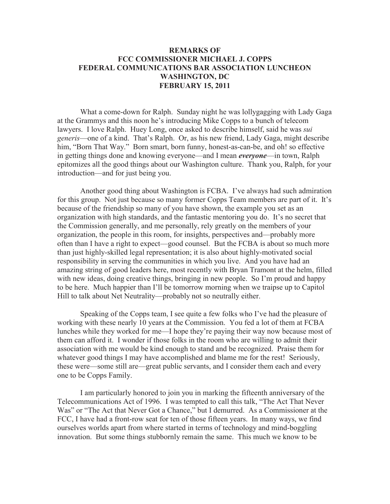## **REMARKS OF FCC COMMISSIONER MICHAEL J. COPPS FEDERAL COMMUNICATIONS BAR ASSOCIATION LUNCHEON WASHINGTON, DC FEBRUARY 15, 2011**

What a come-down for Ralph. Sunday night he was lollygagging with Lady Gaga at the Grammys and this noon he's introducing Mike Copps to a bunch of telecom lawyers. I love Ralph. Huey Long, once asked to describe himself, said he was *sui generis*—one of a kind. That's Ralph. Or, as his new friend, Lady Gaga, might describe him, "Born That Way." Born smart, born funny, honest-as-can-be, and oh! so effective in getting things done and knowing everyone—and I mean *everyone*—in town, Ralph epitomizes all the good things about our Washington culture. Thank you, Ralph, for your introduction—and for just being you.

Another good thing about Washington is FCBA. I've always had such admiration for this group. Not just because so many former Copps Team members are part of it. It's because of the friendship so many of you have shown, the example you set as an organization with high standards, and the fantastic mentoring you do. It's no secret that the Commission generally, and me personally, rely greatly on the members of your organization, the people in this room, for insights, perspectives and—probably more often than I have a right to expect—good counsel. But the FCBA is about so much more than just highly-skilled legal representation; it is also about highly-motivated social responsibility in serving the communities in which you live. And you have had an amazing string of good leaders here, most recently with Bryan Tramont at the helm, filled with new ideas, doing creative things, bringing in new people. So I'm proud and happy to be here. Much happier than I'll be tomorrow morning when we traipse up to Capitol Hill to talk about Net Neutrality—probably not so neutrally either.

Speaking of the Copps team, I see quite a few folks who I've had the pleasure of working with these nearly 10 years at the Commission. You fed a lot of them at FCBA lunches while they worked for me—I hope they're paying their way now because most of them can afford it. I wonder if those folks in the room who are willing to admit their association with me would be kind enough to stand and be recognized. Praise them for whatever good things I may have accomplished and blame me for the rest! Seriously, these were—some still are—great public servants, and I consider them each and every one to be Copps Family.

I am particularly honored to join you in marking the fifteenth anniversary of the Telecommunications Act of 1996. I was tempted to call this talk, "The Act That Never Was" or "The Act that Never Got a Chance," but I demurred. As a Commissioner at the FCC, I have had a front-row seat for ten of those fifteen years. In many ways, we find ourselves worlds apart from where started in terms of technology and mind-boggling innovation. But some things stubbornly remain the same. This much we know to be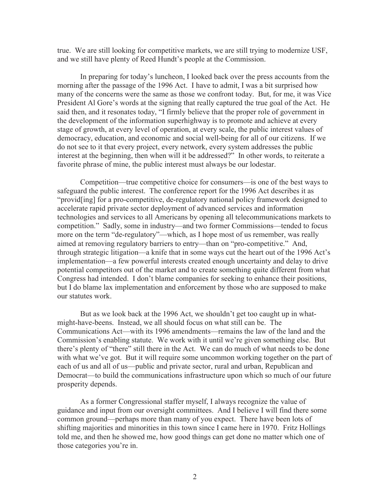true. We are still looking for competitive markets, we are still trying to modernize USF, and we still have plenty of Reed Hundt's people at the Commission.

In preparing for today's luncheon, I looked back over the press accounts from the morning after the passage of the 1996 Act. I have to admit, I was a bit surprised how many of the concerns were the same as those we confront today. But, for me, it was Vice President Al Gore's words at the signing that really captured the true goal of the Act. He said then, and it resonates today, "I firmly believe that the proper role of government in the development of the information superhighway is to promote and achieve at every stage of growth, at every level of operation, at every scale, the public interest values of democracy, education, and economic and social well-being for all of our citizens. If we do not see to it that every project, every network, every system addresses the public interest at the beginning, then when will it be addressed?" In other words, to reiterate a favorite phrase of mine, the public interest must always be our lodestar.

Competition—true competitive choice for consumers—is one of the best ways to safeguard the public interest. The conference report for the 1996 Act describes it as "provid[ing] for a pro-competitive, de-regulatory national policy framework designed to accelerate rapid private sector deployment of advanced services and information technologies and services to all Americans by opening all telecommunications markets to competition." Sadly, some in industry—and two former Commissions—tended to focus more on the term "de-regulatory"—which, as I hope most of us remember, was really aimed at removing regulatory barriers to entry—than on "pro-competitive." And, through strategic litigation—a knife that in some ways cut the heart out of the 1996 Act's implementation—a few powerful interests created enough uncertainty and delay to drive potential competitors out of the market and to create something quite different from what Congress had intended. I don't blame companies for seeking to enhance their positions, but I do blame lax implementation and enforcement by those who are supposed to make our statutes work.

But as we look back at the 1996 Act, we shouldn't get too caught up in whatmight-have-beens. Instead, we all should focus on what still can be. The Communications Act—with its 1996 amendments—remains the law of the land and the Commission's enabling statute. We work with it until we're given something else. But there's plenty of "there" still there in the Act. We can do much of what needs to be done with what we've got. But it will require some uncommon working together on the part of each of us and all of us—public and private sector, rural and urban, Republican and Democrat—to build the communications infrastructure upon which so much of our future prosperity depends.

As a former Congressional staffer myself, I always recognize the value of guidance and input from our oversight committees. And I believe I will find there some common ground—perhaps more than many of you expect. There have been lots of shifting majorities and minorities in this town since I came here in 1970. Fritz Hollings told me, and then he showed me, how good things can get done no matter which one of those categories you're in.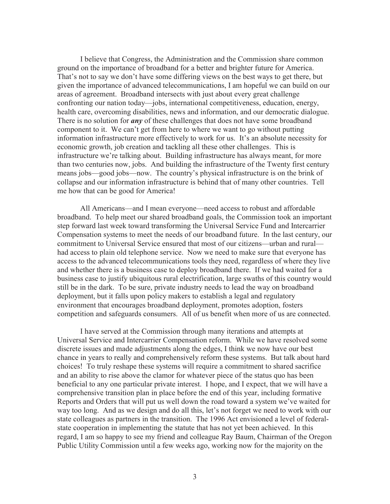I believe that Congress, the Administration and the Commission share common ground on the importance of broadband for a better and brighter future for America. That's not to say we don't have some differing views on the best ways to get there, but given the importance of advanced telecommunications, I am hopeful we can build on our areas of agreement. Broadband intersects with just about every great challenge confronting our nation today—jobs, international competitiveness, education, energy, health care, overcoming disabilities, news and information, and our democratic dialogue. There is no solution for *any* of these challenges that does not have some broadband component to it. We can't get from here to where we want to go without putting information infrastructure more effectively to work for us. It's an absolute necessity for economic growth, job creation and tackling all these other challenges. This is infrastructure we're talking about. Building infrastructure has always meant, for more than two centuries now, jobs. And building the infrastructure of the Twenty first century means jobs—good jobs—now. The country's physical infrastructure is on the brink of collapse and our information infrastructure is behind that of many other countries. Tell me how that can be good for America!

All Americans—and I mean everyone—need access to robust and affordable broadband. To help meet our shared broadband goals, the Commission took an important step forward last week toward transforming the Universal Service Fund and Intercarrier Compensation systems to meet the needs of our broadband future. In the last century, our commitment to Universal Service ensured that most of our citizens—urban and rural had access to plain old telephone service. Now we need to make sure that everyone has access to the advanced telecommunications tools they need, regardless of where they live and whether there is a business case to deploy broadband there. If we had waited for a business case to justify ubiquitous rural electrification, large swaths of this country would still be in the dark. To be sure, private industry needs to lead the way on broadband deployment, but it falls upon policy makers to establish a legal and regulatory environment that encourages broadband deployment, promotes adoption, fosters competition and safeguards consumers. All of us benefit when more of us are connected.

I have served at the Commission through many iterations and attempts at Universal Service and Intercarrier Compensation reform. While we have resolved some discrete issues and made adjustments along the edges, I think we now have our best chance in years to really and comprehensively reform these systems. But talk about hard choices! To truly reshape these systems will require a commitment to shared sacrifice and an ability to rise above the clamor for whatever piece of the status quo has been beneficial to any one particular private interest. I hope, and I expect, that we will have a comprehensive transition plan in place before the end of this year, including formative Reports and Orders that will put us well down the road toward a system we've waited for way too long. And as we design and do all this, let's not forget we need to work with our state colleagues as partners in the transition. The 1996 Act envisioned a level of federalstate cooperation in implementing the statute that has not yet been achieved. In this regard, I am so happy to see my friend and colleague Ray Baum, Chairman of the Oregon Public Utility Commission until a few weeks ago, working now for the majority on the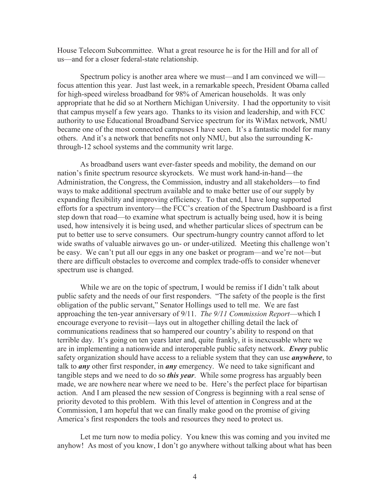House Telecom Subcommittee. What a great resource he is for the Hill and for all of us—and for a closer federal-state relationship.

Spectrum policy is another area where we must—and I am convinced we will focus attention this year. Just last week, in a remarkable speech, President Obama called for high-speed wireless broadband for 98% of American households. It was only appropriate that he did so at Northern Michigan University. I had the opportunity to visit that campus myself a few years ago. Thanks to its vision and leadership, and with FCC authority to use Educational Broadband Service spectrum for its WiMax network, NMU became one of the most connected campuses I have seen. It's a fantastic model for many others. And it's a network that benefits not only NMU, but also the surrounding Kthrough-12 school systems and the community writ large.

As broadband users want ever-faster speeds and mobility, the demand on our nation's finite spectrum resource skyrockets. We must work hand-in-hand—the Administration, the Congress, the Commission, industry and all stakeholders—to find ways to make additional spectrum available and to make better use of our supply by expanding flexibility and improving efficiency. To that end, I have long supported efforts for a spectrum inventory—the FCC's creation of the Spectrum Dashboard is a first step down that road—to examine what spectrum is actually being used, how it is being used, how intensively it is being used, and whether particular slices of spectrum can be put to better use to serve consumers. Our spectrum-hungry country cannot afford to let wide swaths of valuable airwaves go un- or under-utilized. Meeting this challenge won't be easy. We can't put all our eggs in any one basket or program—and we're not—but there are difficult obstacles to overcome and complex trade-offs to consider whenever spectrum use is changed.

While we are on the topic of spectrum, I would be remiss if I didn't talk about public safety and the needs of our first responders. "The safety of the people is the first obligation of the public servant," Senator Hollings used to tell me. We are fast approaching the ten-year anniversary of 9/11. *The 9/11 Commission Report*—which I encourage everyone to revisit—lays out in altogether chilling detail the lack of communications readiness that so hampered our country's ability to respond on that terrible day. It's going on ten years later and, quite frankly, it is inexcusable where we are in implementing a nationwide and interoperable public safety network. *Every* public safety organization should have access to a reliable system that they can use *anywhere*, to talk to *any* other first responder, in *any* emergency. We need to take significant and tangible steps and we need to do so *this year*. While some progress has arguably been made, we are nowhere near where we need to be. Here's the perfect place for bipartisan action. And I am pleased the new session of Congress is beginning with a real sense of priority devoted to this problem. With this level of attention in Congress and at the Commission, I am hopeful that we can finally make good on the promise of giving America's first responders the tools and resources they need to protect us.

Let me turn now to media policy. You knew this was coming and you invited me anyhow! As most of you know, I don't go anywhere without talking about what has been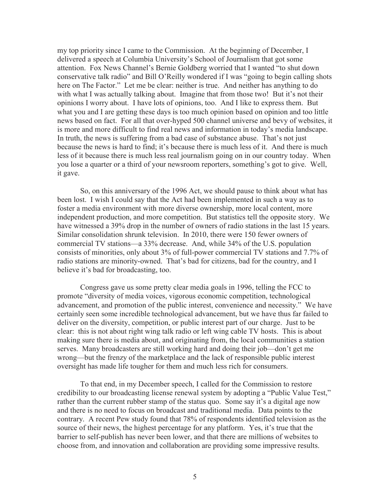my top priority since I came to the Commission. At the beginning of December, I delivered a speech at Columbia University's School of Journalism that got some attention. Fox News Channel's Bernie Goldberg worried that I wanted "to shut down conservative talk radio" and Bill O'Reilly wondered if I was "going to begin calling shots here on The Factor." Let me be clear: neither is true. And neither has anything to do with what I was actually talking about. Imagine that from those two! But it's not their opinions I worry about. I have lots of opinions, too. And I like to express them. But what you and I are getting these days is too much opinion based on opinion and too little news based on fact. For all that over-hyped 500 channel universe and bevy of websites, it is more and more difficult to find real news and information in today's media landscape. In truth, the news is suffering from a bad case of substance abuse. That's not just because the news is hard to find; it's because there is much less of it. And there is much less of it because there is much less real journalism going on in our country today. When you lose a quarter or a third of your newsroom reporters, something's got to give. Well, it gave.

So, on this anniversary of the 1996 Act, we should pause to think about what has been lost. I wish I could say that the Act had been implemented in such a way as to foster a media environment with more diverse ownership, more local content, more independent production, and more competition. But statistics tell the opposite story. We have witnessed a 39% drop in the number of owners of radio stations in the last 15 years. Similar consolidation shrunk television. In 2010, there were 150 fewer owners of commercial TV stations—a 33% decrease. And, while 34% of the U.S. population consists of minorities, only about 3% of full-power commercial TV stations and 7.7% of radio stations are minority-owned. That's bad for citizens, bad for the country, and I believe it's bad for broadcasting, too.

Congress gave us some pretty clear media goals in 1996, telling the FCC to promote "diversity of media voices, vigorous economic competition, technological advancement, and promotion of the public interest, convenience and necessity." We have certainly seen some incredible technological advancement, but we have thus far failed to deliver on the diversity, competition, or public interest part of our charge. Just to be clear: this is not about right wing talk radio or left wing cable TV hosts. This is about making sure there is media about, and originating from, the local communities a station serves. Many broadcasters are still working hard and doing their job—don't get me wrong—but the frenzy of the marketplace and the lack of responsible public interest oversight has made life tougher for them and much less rich for consumers.

To that end, in my December speech, I called for the Commission to restore credibility to our broadcasting license renewal system by adopting a "Public Value Test," rather than the current rubber stamp of the status quo. Some say it's a digital age now and there is no need to focus on broadcast and traditional media. Data points to the contrary. A recent Pew study found that 78% of respondents identified television as the source of their news, the highest percentage for any platform. Yes, it's true that the barrier to self-publish has never been lower, and that there are millions of websites to choose from, and innovation and collaboration are providing some impressive results.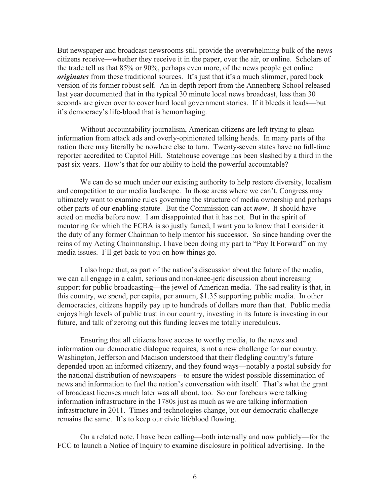But newspaper and broadcast newsrooms still provide the overwhelming bulk of the news citizens receive—whether they receive it in the paper, over the air, or online. Scholars of the trade tell us that 85% or 90%, perhaps even more, of the news people get online *originates* from these traditional sources. It's just that it's a much slimmer, pared back version of its former robust self. An in-depth report from the Annenberg School released last year documented that in the typical 30 minute local news broadcast, less than 30 seconds are given over to cover hard local government stories. If it bleeds it leads—but it's democracy's life-blood that is hemorrhaging.

Without accountability journalism, American citizens are left trying to glean information from attack ads and overly-opinionated talking heads. In many parts of the nation there may literally be nowhere else to turn. Twenty-seven states have no full-time reporter accredited to Capitol Hill. Statehouse coverage has been slashed by a third in the past six years. How's that for our ability to hold the powerful accountable?

We can do so much under our existing authority to help restore diversity, localism and competition to our media landscape. In those areas where we can't, Congress may ultimately want to examine rules governing the structure of media ownership and perhaps other parts of our enabling statute. But the Commission can act *now*. It should have acted on media before now. I am disappointed that it has not. But in the spirit of mentoring for which the FCBA is so justly famed, I want you to know that I consider it the duty of any former Chairman to help mentor his successor. So since handing over the reins of my Acting Chairmanship, I have been doing my part to "Pay It Forward" on my media issues. I'll get back to you on how things go.

I also hope that, as part of the nation's discussion about the future of the media, we can all engage in a calm, serious and non-knee-jerk discussion about increasing support for public broadcasting—the jewel of American media. The sad reality is that, in this country, we spend, per capita, per annum, \$1.35 supporting public media. In other democracies, citizens happily pay up to hundreds of dollars more than that. Public media enjoys high levels of public trust in our country, investing in its future is investing in our future, and talk of zeroing out this funding leaves me totally incredulous.

Ensuring that all citizens have access to worthy media, to the news and information our democratic dialogue requires, is not a new challenge for our country. Washington, Jefferson and Madison understood that their fledgling country's future depended upon an informed citizenry, and they found ways—notably a postal subsidy for the national distribution of newspapers—to ensure the widest possible dissemination of news and information to fuel the nation's conversation with itself. That's what the grant of broadcast licenses much later was all about, too. So our forebears were talking information infrastructure in the 1780s just as much as we are talking information infrastructure in 2011. Times and technologies change, but our democratic challenge remains the same. It's to keep our civic lifeblood flowing.

On a related note, I have been calling—both internally and now publicly—for the FCC to launch a Notice of Inquiry to examine disclosure in political advertising. In the